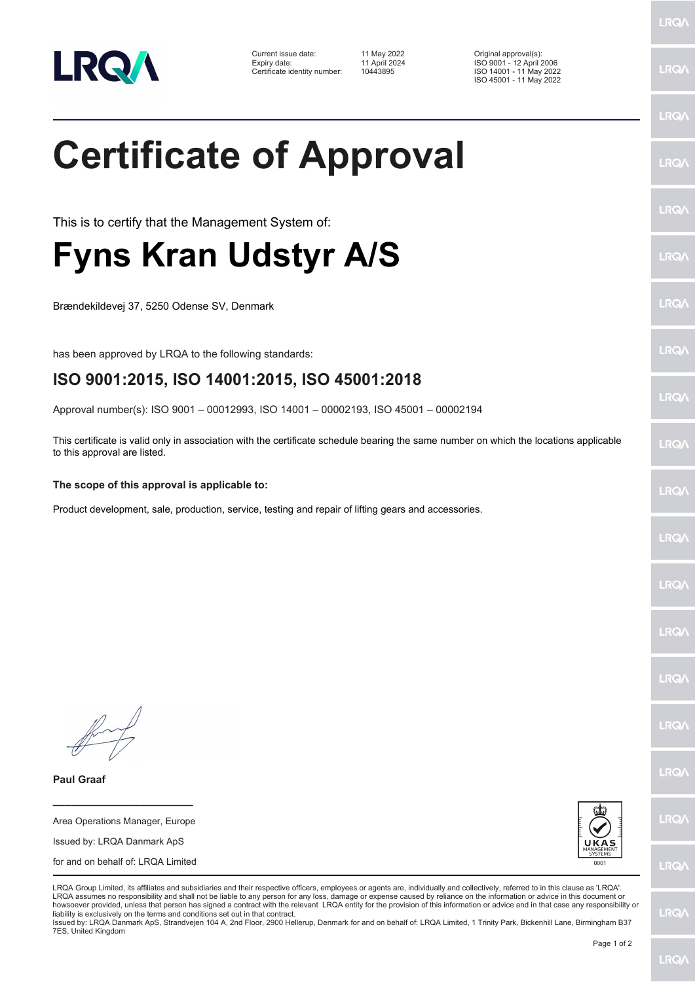

| Current issue date:          | 11 May 2022   | Original approval(s):    |
|------------------------------|---------------|--------------------------|
| Expiry date:                 | 11 April 2024 | ISO 9001 - 12 April 2006 |
| Certificate identity number: | 10443895      | ISO 14001 - 11 May 2022  |

**Certificate of Approval**

This is to certify that the Management System of:

Brændekildevej 37, 5250 Odense SV, Denmark

**The scope of this approval is applicable to:**

has been approved by LRQA to the following standards:

**Fyns Kran Udstyr A/S**

ISO 14001 - 11 May 2022 ISO 45001 - 11 May 2022 LRQ/

LRQ/

## LRQ/

LRQ/

LRQ/

LRQ/

LRQ/

LRQ/

**LRQA** 

LRQ/

LRQ/

LRQ/

LRQ/

**LRQ/** 

LRQ/

**IRQA** 

LRQ/

LRQ/

**LRQ/** 

LRQ/

Product development, sale, production, service, testing and repair of lifting gears and accessories.

**ISO 9001:2015, ISO 14001:2015, ISO 45001:2018**

Approval number(s): ISO 9001 – 00012993, ISO 14001 – 00002193, ISO 45001 – 00002194

This certificate is valid only in association with the certificate schedule bearing the same number on which the locations applicable

to this approval are listed.

**Paul Graaf**

Area Operations Manager, Europe Issued by: LRQA Danmark ApS for and on behalf of: LRQA Limited

**\_\_\_\_\_\_\_\_\_\_\_\_\_\_\_\_\_\_\_\_\_\_\_\_**



LRQA Group Limited, its affiliates and subsidiaries and their respective officers, employees or agents are, individually and collectively, referred to in this clause as 'LRQA'. LRQA assumes no responsibility and shall not be liable to any person for any loss, damage or expense caused by reliance on the information or advice in this document or howsoever provided, unless that person has signed a contract with the relevant LRQA entity for the provision of this information or advice and in that case any responsibility or liability is exclusively on the terms and conditions set out in that contract.

Issued by: LRQA Danmark ApS, Strandvejen 104 A, 2nd Floor, 2900 Hellerup, Denmark for and on behalf of: LRQA Limited, 1 Trinity Park, Bickenhill Lane, Birmingham B37 7ES, United Kingdom